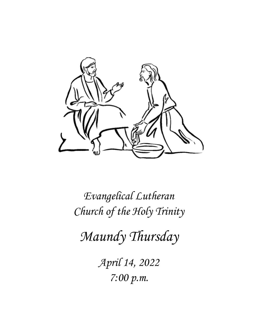

*Evangelical Lutheran Church of the Holy Trinity*

*Maundy Thursday*

*April 14, 2022 7:00 p.m.*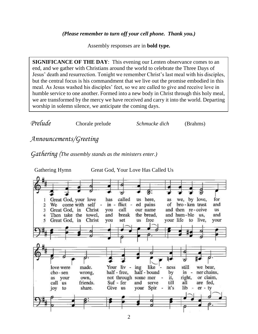Assembly responses are in **bold type.**

**SIGNIFICANCE OF THE DAY:** This evening our Lenten observance comes to an end, and we gather with Christians around the world to celebrate the Three Days of Jesus' death and resurrection. Tonight we remember Christ's last meal with his disciples, but the central focus is his commandment that we live out the promise embodied in this meal. As Jesus washed his disciples' feet, so we are called to give and receive love in humble service to one another. Formed into a new body in Christ through this holy meal, we are transformed by the mercy we have received and carry it into the world. Departing worship in solemn silence, we anticipate the coming days.

| Prelude | Chorale prelude | Schmucke dich | (Brahms) |
|---------|-----------------|---------------|----------|
|---------|-----------------|---------------|----------|

# *Announcements/Greeting*

*Gathering (The assembly stands as the ministers enter.)*

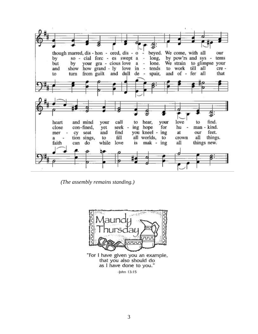

*(The assembly remains standing.)*



"For I have given you an example, that you also should do as I have done to you."  $-$ John  $13:15$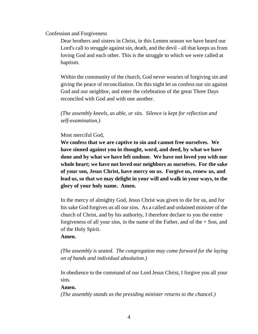Confession and Forgiveness

Dear brothers and sisters in Christ, in this Lenten season we have heard our Lord's call to struggle against sin, death, and the devil - all that keeps us from loving God and each other. This is the struggle to which we were called at baptism.

Within the community of the church, God never wearies of forgiving sin and giving the peace of reconciliation. On this night let us confess our sin against God and our neighbor, and enter the celebration of the great Three Days reconciled with God and with one another.

*(The assembly kneels, as able, or sits. Silence is kept for reflection and self-examination.)*

### Most merciful God,

**We confess that we are captive to sin and cannot free ourselves. We have sinned against you in thought, word, and deed, by what we have done and by what we have left undone. We have not loved you with our whole heart; we have not loved our neighbors as ourselves. For the sake of your son, Jesus Christ, have mercy on us. Forgive us, renew us, and lead us, so that we may delight in your will and walk in your ways, to the glory of your holy name. Amen.**

In the mercy of almighty God, Jesus Christ was given to die for us, and for his sake God forgives us all our sins. As a called and ordained minister of the church of Christ, and by his authority, I therefore declare to you the entire forgiveness of all your sins, in the name of the Father, and of the  $+$  Son, and of the Holy Spirit.

#### **Amen.**

*(The assembly is seated. The congregation may come forward for the laying on of hands and individual absolution.)*

In obedience to the command of our Lord Jesus Christ, I forgive you all your sins.

#### **Amen.**

*(The assembly stands as the presiding minister returns to the chancel.)*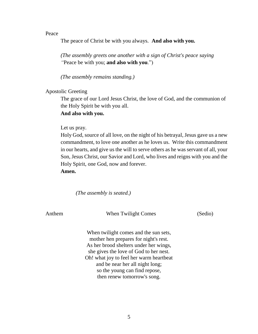#### Peace

The peace of Christ be with you always. **And also with you.**

*(The assembly greets one another with a sign of Christ's peace saying "*Peace be with you; **and also with you**.")

*(The assembly remains standing.)*

Apostolic Greeting

The grace of our Lord Jesus Christ, the love of God, and the communion of the Holy Spirit be with you all.

**And also with you.**

#### Let us pray.

Holy God, source of all love, on the night of his betrayal, Jesus gave us a new commandment, to love one another as he loves us. Write this commandment in our hearts, and give us the will to serve others as he was servant of all, your Son, Jesus Christ, our Savior and Lord, who lives and reigns with you and the Holy Spirit, one God, now and forever.

**Amen.**

*(The assembly is seated.)*

Anthem When Twilight Comes (Sedio)

When twilight comes and the sun sets, mother hen prepares for night's rest. As her brood shelters under her wings, she gives the love of God to her nest. Oh! what joy to feel her warm heartbeat and be near her all night long; so the young can find repose, then renew tomorrow's song.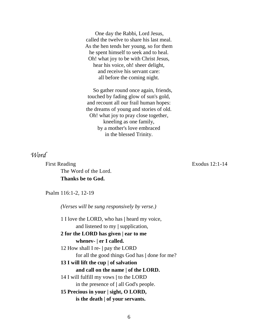One day the Rabbi, Lord Jesus, called the twelve to share his last meal. As the hen tends her young, so for them he spent himself to seek and to heal. Oh! what joy to be with Christ Jesus, hear his voice, oh! sheer delight, and receive his servant care: all before the coming night.

So gather round once again, friends, touched by fading glow of sun's gold, and recount all our frail human hopes: the dreams of young and stories of old. Oh! what joy to pray close together, kneeling as one family, by a mother's love embraced in the blessed Trinity.

*Word*

First Reading *Exodus* 12:1-14 The Word of the Lord. **Thanks be to God.**

Psalm 116:1-2, 12-19

*(Verses will be sung responsively by verse.)* 1 I love the LORD, who has **|** heard my voice,

and listened to my **|** supplication,

**2 for the LORD has given | ear to me whenev- | er I called.**

12 How shall I re- **|** pay the LORD for all the good things God has **|** done for me?

#### **13 I will lift the cup | of salvation**

### **and call on the name | of the LORD.**

14 I will fulfill my vows **|** to the LORD in the presence of **|** all God's people.

### **15 Precious in your | sight, O LORD, is the death | of your servants.**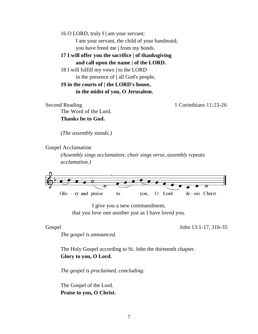16 O LORD, truly I **|** am your servant; I am your servant, the child of your handmaid; you have freed me **|** from my bonds.

**17 I will offer you the sacrifice | of thanksgiving and call upon the name | of the LORD.**

18 I will fulfill my vows **|** to the LORD in the presence of **|** all God's people,

**19 in the courts of | the LORD's house, in the midst of you, O Jerusalem.** 

Second Reading 1:23-26 The Word of the Lord. **Thanks be to God.**

*(The assembly stands.)*

Gospel Acclamation

*(Assembly sings acclamation; choir sings verse, assembly repeats acclamation.)*



I give you a new commandment, that you love one another just as I have loved you.

Gospel John 13:1-17, 31b-35

*The gospel is announced.*

The Holy Gospel according to St. John the thirteenth chapter. **Glory to you, O Lord.**

*The gospel is proclaimed, concluding:*

The Gospel of the Lord. **Praise to you, O Christ.**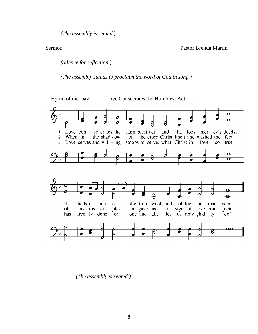*(The assembly is seated.)*

Sermon Pastor Brenda Martin

*(Silence for reflection.)*

*(The assembly stands to proclaim the word of God in song.)*



*(The assembly is seated.)*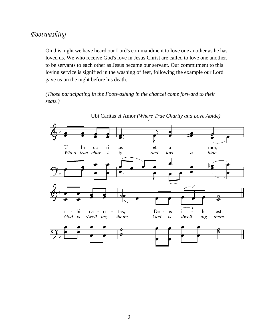## *Footwashing*

On this night we have heard our Lord's commandment to love one another as he has loved us. We who receive God's love in Jesus Christ are called to love one another, to be servants to each other as Jesus became our servant. Our commitment to this loving service is signified in the washing of feet, following the example our Lord gave us on the night before his death.

*(Those participating in the Footwashing in the chancel come forward to their seats.)*



Ubi Caritas et Amor *(Where True Charity and Love Abide)*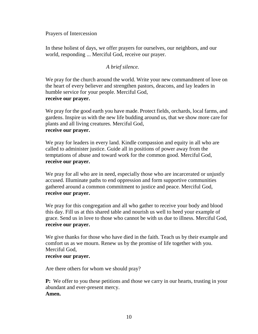Prayers of Intercession

In these holiest of days, we offer prayers for ourselves, our neighbors, and our world, responding ... Merciful God, receive our prayer.

### *A brief silence.*

We pray for the church around the world. Write your new commandment of love on the heart of every believer and strengthen pastors, deacons, and lay leaders in humble service for your people. Merciful God, **receive our prayer.**

We pray for the good earth you have made. Protect fields, orchards, local farms, and gardens. Inspire us with the new life budding around us, that we show more care for plants and all living creatures. Merciful God, **receive our prayer.**

We pray for leaders in every land. Kindle compassion and equity in all who are called to administer justice. Guide all in positions of power away from the temptations of abuse and toward work for the common good. Merciful God, **receive our prayer.**

We pray for all who are in need, especially those who are incarcerated or unjustly accused. Illuminate paths to end oppression and form supportive communities gathered around a common commitment to justice and peace. Merciful God, **receive our prayer.**

We pray for this congregation and all who gather to receive your body and blood this day. Fill us at this shared table and nourish us well to heed your example of grace. Send us in love to those who cannot be with us due to illness. Merciful God, **receive our prayer.**

We give thanks for those who have died in the faith. Teach us by their example and comfort us as we mourn. Renew us by the promise of life together with you. Merciful God,

#### **receive our prayer.**

Are there others for whom we should pray?

**P:** We offer to you these petitions and those we carry in our hearts, trusting in your abundant and ever-present mercy. **Amen.**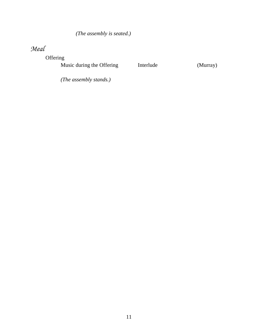## *(The assembly is seated.)*

# *Meal*

Offering

Music during the Offering **Interlude** (Murray)

*(The assembly stands.)*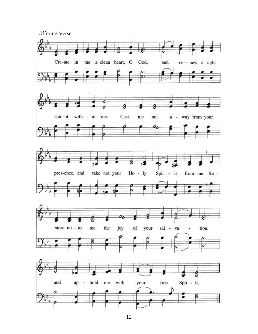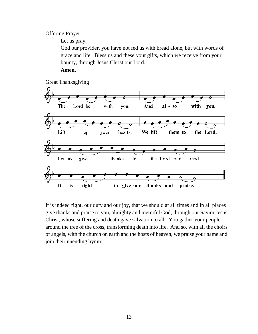Offering Prayer

Let us pray.

God our provider, you have not fed us with bread alone, but with words of grace and life. Bless us and these your gifts, which we receive from your bounty, through Jesus Christ our Lord.

**Amen.**

Great Thanksgiving



It is indeed right, our duty and our joy, that we should at all times and in all places give thanks and praise to you, almighty and merciful God, through our Savior Jesus Christ, whose suffering and death gave salvation to all. You gather your people around the tree of the cross, transforming death into life. And so, with all the choirs of angels, with the church on earth and the hosts of heaven, we praise your name and join their unending hymn: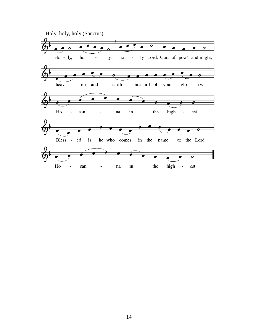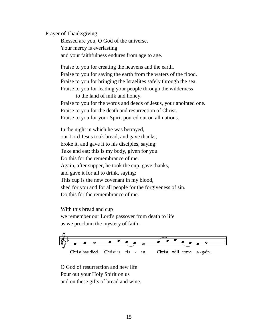Prayer of Thanksgiving

Blessed are you, O God of the universe. Your mercy is everlasting and your faithfulness endures from age to age.

Praise to you for creating the heavens and the earth. Praise to you for saving the earth from the waters of the flood. Praise to you for bringing the Israelites safely through the sea. Praise to you for leading your people through the wilderness

to the land of milk and honey. Praise to you for the words and deeds of Jesus, your anointed one. Praise to you for the death and resurrection of Christ. Praise to you for your Spirit poured out on all nations.

In the night in which he was betrayed, our Lord Jesus took bread, and gave thanks; broke it, and gave it to his disciples, saying: Take and eat; this is my body, given for you. Do this for the remembrance of me. Again, after supper, he took the cup, gave thanks, and gave it for all to drink, saying: This cup is the new covenant in my blood, shed for you and for all people for the forgiveness of sin. Do this for the remembrance of me.

With this bread and cup we remember our Lord's passover from death to life as we proclaim the mystery of faith:



O God of resurrection and new life: Pour out your Holy Spirit on us and on these gifts of bread and wine.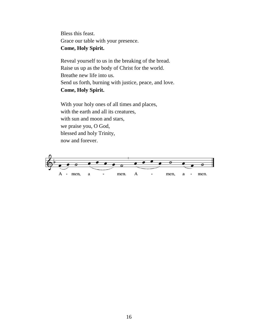Bless this feast. Grace our table with your presence. **Come, Holy Spirit.**

Reveal yourself to us in the breaking of the bread. Raise us up as the body of Christ for the world. Breathe new life into us. Send us forth, burning with justice, peace, and love. **Come, Holy Spirit.**

With your holy ones of all times and places, with the earth and all its creatures, with sun and moon and stars. we praise you, O God, blessed and holy Trinity, now and forever.

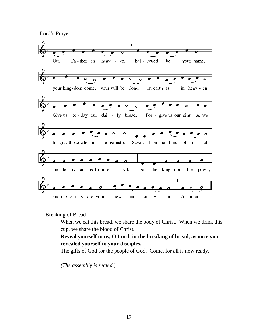Lord's Prayer



Breaking of Bread

When we eat this bread, we share the body of Christ. When we drink this cup, we share the blood of Christ.

**Reveal yourself to us, O Lord, in the breaking of bread, as once you revealed yourself to your disciples.**

The gifts of God for the people of God. Come, for all is now ready.

*(The assembly is seated.)*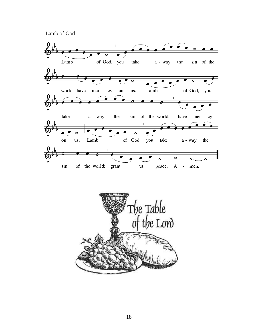Lamb of God



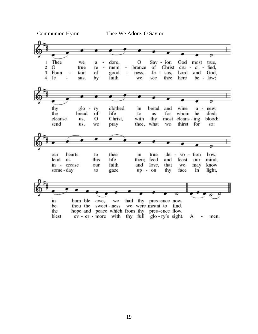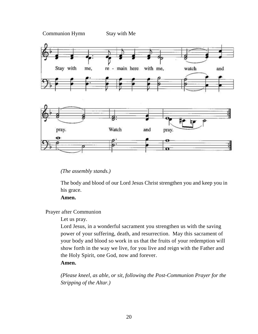

### *(The assembly stands.)*

The body and blood of our Lord Jesus Christ strengthen you and keep you in his grace.

#### **Amen.**

Prayer after Communion

#### Let us pray.

Lord Jesus, in a wonderful sacrament you strengthen us with the saving power of your suffering, death, and resurrection. May this sacrament of your body and blood so work in us that the fruits of your redemption will show forth in the way we live, for you live and reign with the Father and the Holy Spirit, one God, now and forever.

### **Amen.**

*(Please kneel, as able, or sit, following the Post-Communion Prayer for the Stripping of the Altar.)*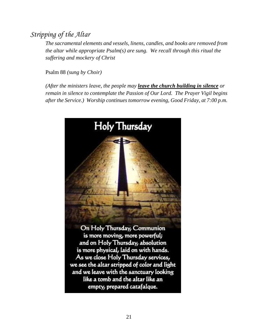# *Stripping of the Altar*

*The sacramental elements and vessels, linens, candles, and books are removed from the altar while appropriate Psalm(s) are sung. We recall through this ritual the suffering and mockery of Christ* 

Psalm 88 *(sung by Choir)*

*(After the ministers leave, the people may leave the church building in silence or remain in silence to contemplate the Passion of Our Lord. The Prayer Vigil begins after the Service.) Worship continues tomorrow evening, Good Friday, at 7:00 p.m.*